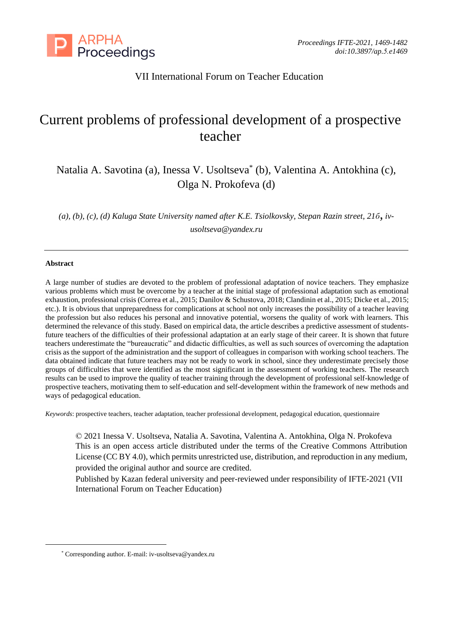

# VII International Forum on Teacher Education

# Current problems of professional development of a prospective teacher

Natalia A. Savotina (a), Inessa V. Usoltseva\* (b), Valentina A. Antokhina (c), Olga N. Prokofeva (d)

*(a), (b), (c), (d) Kaluga State University named after K.E. Tsiolkovsky, Stepan Razin street, 21б, ivusoltseva@yandex.ru*

#### **Abstract**

A large number of studies are devoted to the problem of professional adaptation of novice teachers. They emphasize various problems which must be overcome by a teacher at the initial stage of professional adaptation such as emotional exhaustion, professional crisis (Correa et al., 2015; Danilov & Schustova, 2018; Clandinin et al., 2015; Dicke et al., 2015; etc.). It is obvious that unpreparedness for complications at school not only increases the possibility of a teacher leaving the profession but also reduces his personal and innovative potential, worsens the quality of work with learners. This determined the relevance of this study. Based on empirical data, the article describes a predictive assessment of studentsfuture teachers of the difficulties of their professional adaptation at an early stage of their career. It is shown that future teachers underestimate the "bureaucratic" and didactic difficulties, as well as such sources of overcoming the adaptation crisis as the support of the administration and the support of colleagues in comparison with working school teachers. The data obtained indicate that future teachers may not be ready to work in school, since they underestimate precisely those groups of difficulties that were identified as the most significant in the assessment of working teachers. The research results can be used to improve the quality of teacher training through the development of professional self-knowledge of prospective teachers, motivating them to self-education and self-development within the framework of new methods and ways of pedagogical education.

*Keywords*: prospective teachers, teacher adaptation, teacher professional development, pedagogical education, questionnaire

© 2021 Inessa V. Usoltseva, Natalia A. Savotina, Valentina A. Antokhina, Olga N. Prokofeva This is an open access article distributed under the terms of the Creative Commons Attribution License (CC BY 4.0), which permits unrestricted use, distribution, and reproduction in any medium, provided the original author and source are credited.

Published by Kazan federal university and peer-reviewed under responsibility of IFTE-2021 (VII International Forum on Teacher Education)

<sup>\*</sup> Corresponding author. E-mail: iv-usoltseva@yandex.ru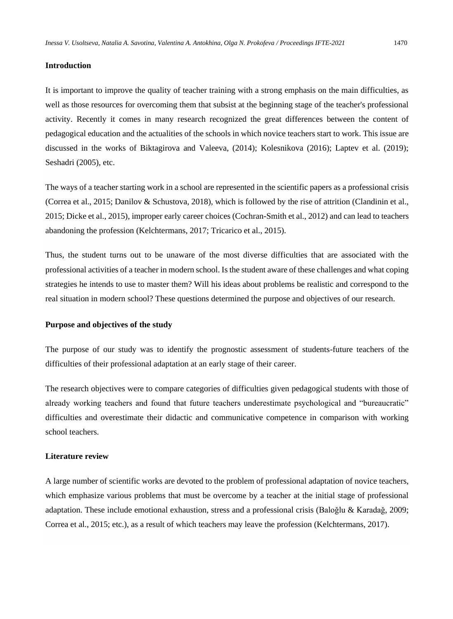#### **Introduction**

It is important to improve the quality of teacher training with a strong emphasis on the main difficulties, as well as those resources for overcoming them that subsist at the beginning stage of the teacher's professional activity. Recently it comes in many research recognized the great differences between the content of pedagogical education and the actualities of the schools in which novice teachers start to work. This issue are discussed in the works of Biktagirova and Valeeva, (2014); Kolesnikova (2016); Laptev et al. (2019); Seshadri (2005), etc.

The ways of a teacher starting work in a school are represented in the scientific papers as a professional crisis (Correa et al., 2015; Danilov & Schustova, 2018), which is followed by the rise of attrition (Clandinin et al., 2015; Dicke et al., 2015), improper early career choices (Cochran-Smith et al., 2012) and can lead to teachers abandoning the profession (Kelchtermans, 2017; Tricarico et al., 2015).

Thus, the student turns out to be unaware of the most diverse difficulties that are associated with the professional activities of a teacher in modern school. Is the student aware of these challenges and what coping strategies he intends to use to master them? Will his ideas about problems be realistic and correspond to the real situation in modern school? These questions determined the purpose and objectives of our research.

#### **Purpose and objectives of the study**

The purpose of our study was to identify the prognostic assessment of students-future teachers of the difficulties of their professional adaptation at an early stage of their career.

The research objectives were to compare categories of difficulties given pedagogical students with those of already working teachers and found that future teachers underestimate psychological and "bureaucratic" difficulties and overestimate their didactic and communicative competence in comparison with working school teachers.

#### **Literature review**

A large number of scientific works are devoted to the problem of professional adaptation of novice teachers, which emphasize various problems that must be overcome by a teacher at the initial stage of professional adaptation. These include emotional exhaustion, stress and a professional crisis (Baloğlu & Karadağ, 2009; Correa et al., 2015; etc.), as a result of which teachers may leave the profession (Kelchtermans, 2017).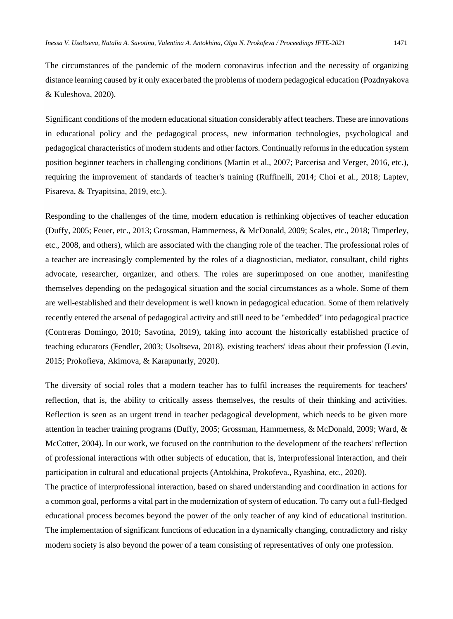The circumstances of the pandemic of the modern coronavirus infection and the necessity of organizing distance learning caused by it only exacerbated the problems of modern pedagogical education (Pozdnyakova & Kuleshova, 2020).

Significant conditions of the modern educational situation considerably affect teachers. These are innovations in educational policy and the pedagogical process, new information technologies, psychological and pedagogical characteristics of modern students and other factors. Continually reforms in the education system position beginner teachers in challenging conditions (Martin et al., 2007; Parcerisa and Verger, 2016, etc.), requiring the improvement of standards of teacher's training (Ruffinelli, 2014; Choi et al., 2018; Laptev, Pisareva, & Tryapitsina, 2019, etc.).

Responding to the challenges of the time, modern education is rethinking objectives of teacher education (Duffy, 2005; Feuer, etc., 2013; Grossman, Hammerness, & McDonald, 2009; Scales, etc., 2018; Timperley, etc., 2008, and others), which are associated with the changing role of the teacher. The professional roles of a teacher are increasingly complemented by the roles of a diagnostician, mediator, consultant, child rights advocate, researcher, organizer, and others. The roles are superimposed on one another, manifesting themselves depending on the pedagogical situation and the social circumstances as a whole. Some of them are well-established and their development is well known in pedagogical education. Some of them relatively recently entered the arsenal of pedagogical activity and still need to be "embedded" into pedagogical practice (Contreras Domingo, 2010; Savotina, 2019), taking into account the historically established practice of teaching educators (Fendler, 2003; Usoltseva, 2018), existing teachers' ideas about their profession (Levin, 2015; Prokofieva, Akimova, & Karapunarly, 2020).

The diversity of social roles that a modern teacher has to fulfil increases the requirements for teachers' reflection, that is, the ability to critically assess themselves, the results of their thinking and activities. Reflection is seen as an urgent trend in teacher pedagogical development, which needs to be given more attention in teacher training programs (Duffy, 2005; Grossman, Hammerness, & McDonald, 2009; Ward, & McCotter, 2004). In our work, we focused on the contribution to the development of the teachers' reflection of professional interactions with other subjects of education, that is, interprofessional interaction, and their participation in cultural and educational projects (Antokhina, Prokofeva., Ryashina, etc., 2020).

The practice of interprofessional interaction, based on shared understanding and coordination in actions for a common goal, performs a vital part in the modernization of system of education. To carry out a full-fledged educational process becomes beyond the power of the only teacher of any kind of educational institution. The implementation of significant functions of education in a dynamically changing, contradictory and risky modern society is also beyond the power of a team consisting of representatives of only one profession.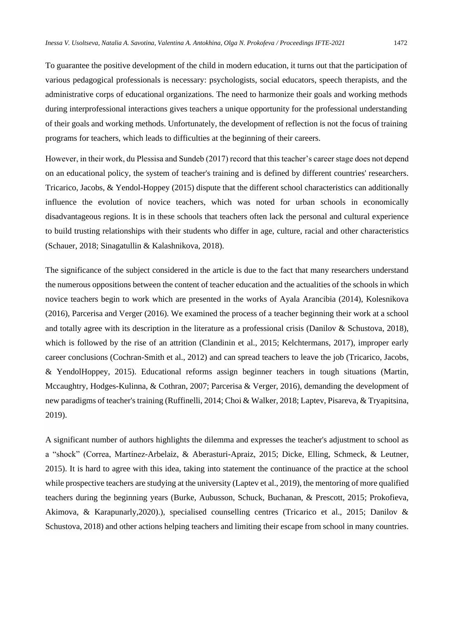To guarantee the positive development of the child in modern education, it turns out that the participation of various pedagogical professionals is necessary: psychologists, social educators, speech therapists, and the administrative corps of educational organizations. The need to harmonize their goals and working methods during interprofessional interactions gives teachers a unique opportunity for the professional understanding of their goals and working methods. Unfortunately, the development of reflection is not the focus of training programs for teachers, which leads to difficulties at the beginning of their careers.

However, in their work, du Plessisa and Sundeb (2017) record that this teacher's career stage does not depend on an educational policy, the system of teacher's training and is defined by different countries' researchers. Tricarico, Jacobs, & Yendol-Hoppey (2015) dispute that the different school characteristics can additionally influence the evolution of novice teachers, which was noted for urban schools in economically disadvantageous regions. It is in these schools that teachers often lack the personal and cultural experience to build trusting relationships with their students who differ in age, culture, racial and other characteristics (Schauer, 2018; Sinagatullin & Kalashnikova, 2018).

The significance of the subject considered in the article is due to the fact that many researchers understand the numerous oppositions between the content of teacher education and the actualities of the schools in which novice teachers begin to work which are presented in the works of Ayala Arancibia (2014), Kolesnikova (2016), Parcerisa and Verger (2016). We examined the process of a teacher beginning their work at a school and totally agree with its description in the literature as a professional crisis (Danilov & Schustova, 2018), which is followed by the rise of an attrition (Clandinin et al., 2015; Kelchtermans, 2017), improper early career conclusions (Cochran-Smith et al., 2012) and can spread teachers to leave the job (Tricarico, Jacobs, & YendolHoppey, 2015). Educational reforms assign beginner teachers in tough situations (Martin, Mccaughtry, Hodges-Kulinna, & Cothran, 2007; Parcerisa & Verger, 2016), demanding the development of new paradigms of teacher's training (Ruffinelli, 2014; Choi & Walker, 2018; Laptev, Pisareva, & Tryapitsina, 2019).

A significant number of authors highlights the dilemma and expresses the teacher's adjustment to school as a "shock" (Correa, Martínez-Arbelaiz, & Aberasturi-Apraiz, 2015; Dicke, Elling, Schmeck, & Leutner, 2015). It is hard to agree with this idea, taking into statement the continuance of the practice at the school while prospective teachers are studying at the university (Laptev et al., 2019), the mentoring of more qualified teachers during the beginning years (Burke, Aubusson, Schuck, Buchanan, & Prescott, 2015; Prokofieva, Akimova, & Karapunarly,2020).), specialised counselling centres (Tricarico et al., 2015; Danilov & Schustova, 2018) and other actions helping teachers and limiting their escape from school in many countries.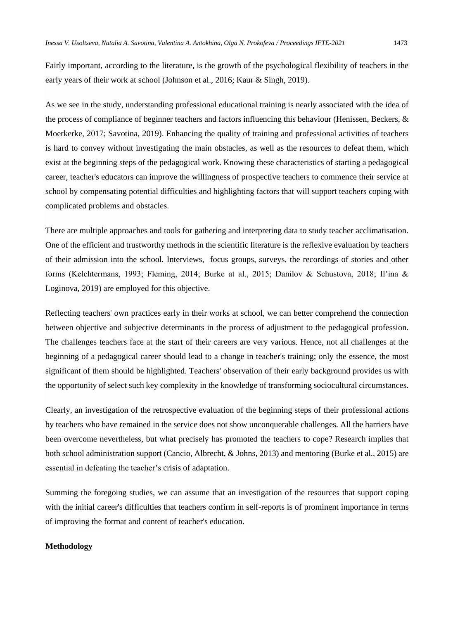Fairly important, according to the literature, is the growth of the psychological flexibility of teachers in the early years of their work at school (Johnson et al., 2016; Kaur & Singh, 2019).

As we see in the study, understanding professional educational training is nearly associated with the idea of the process of compliance of beginner teachers and factors influencing this behaviour (Henissen, Beckers, & Moerkerke, 2017; Savotina, 2019). Enhancing the quality of training and professional activities of teachers is hard to convey without investigating the main obstacles, as well as the resources to defeat them, which exist at the beginning steps of the pedagogical work. Knowing these characteristics of starting a pedagogical career, teacher's educators can improve the willingness of prospective teachers to commence their service at school by compensating potential difficulties and highlighting factors that will support teachers coping with complicated problems and obstacles.

There are multiple approaches and tools for gathering and interpreting data to study teacher acclimatisation. One of the efficient and trustworthy methods in the scientific literature is the reflexive evaluation by teachers of their admission into the school. Interviews, focus groups, surveys, the recordings of stories and other forms (Kelchtermans, 1993; Fleming, 2014; Burke at al., 2015; Danilov & Schustova, 2018; Il'ina & Loginova, 2019) are employed for this objective.

Reflecting teachers' own practices early in their works at school, we can better comprehend the connection between objective and subjective determinants in the process of adjustment to the pedagogical profession. The challenges teachers face at the start of their careers are very various. Hence, not all challenges at the beginning of a pedagogical career should lead to a change in teacher's training; only the essence, the most significant of them should be highlighted. Teachers' observation of their early background provides us with the opportunity of select such key complexity in the knowledge of transforming sociocultural circumstances.

Clearly, an investigation of the retrospective evaluation of the beginning steps of their professional actions by teachers who have remained in the service does not show unconquerable challenges. All the barriers have been overcome nevertheless, but what precisely has promoted the teachers to cope? Research implies that both school administration support (Cancio, Albrecht, & Johns, 2013) and mentoring (Burke et al., 2015) are essential in defeating the teacher's crisis of adaptation.

Summing the foregoing studies, we can assume that an investigation of the resources that support coping with the initial career's difficulties that teachers confirm in self-reports is of prominent importance in terms of improving the format and content of teacher's education.

#### **Methodology**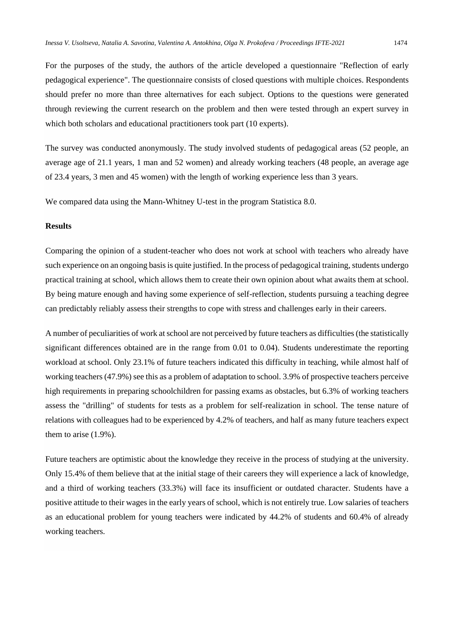For the purposes of the study, the authors of the article developed a questionnaire "Reflection of early pedagogical experience". The questionnaire consists of closed questions with multiple choices. Respondents should prefer no more than three alternatives for each subject. Options to the questions were generated through reviewing the current research on the problem and then were tested through an expert survey in which both scholars and educational practitioners took part (10 experts).

The survey was conducted anonymously. The study involved students of pedagogical areas (52 people, an average age of 21.1 years, 1 man and 52 women) and already working teachers (48 people, an average age of 23.4 years, 3 men and 45 women) with the length of working experience less than 3 years.

We compared data using the Mann-Whitney U-test in the program Statistica 8.0.

#### **Results**

Comparing the opinion of a student-teacher who does not work at school with teachers who already have such experience on an ongoing basis is quite justified. In the process of pedagogical training, students undergo practical training at school, which allows them to create their own opinion about what awaits them at school. By being mature enough and having some experience of self-reflection, students pursuing a teaching degree can predictably reliably assess their strengths to cope with stress and challenges early in their careers.

A number of peculiarities of work at school are not perceived by future teachers as difficulties (the statistically significant differences obtained are in the range from 0.01 to 0.04). Students underestimate the reporting workload at school. Only 23.1% of future teachers indicated this difficulty in teaching, while almost half of working teachers (47.9%) see this as a problem of adaptation to school. 3.9% of prospective teachers perceive high requirements in preparing schoolchildren for passing exams as obstacles, but 6.3% of working teachers assess the "drilling" of students for tests as a problem for self-realization in school. The tense nature of relations with colleagues had to be experienced by 4.2% of teachers, and half as many future teachers expect them to arise (1.9%).

Future teachers are optimistic about the knowledge they receive in the process of studying at the university. Only 15.4% of them believe that at the initial stage of their careers they will experience a lack of knowledge, and a third of working teachers (33.3%) will face its insufficient or outdated character. Students have a positive attitude to their wages in the early years of school, which is not entirely true. Low salaries of teachers as an educational problem for young teachers were indicated by 44.2% of students and 60.4% of already working teachers.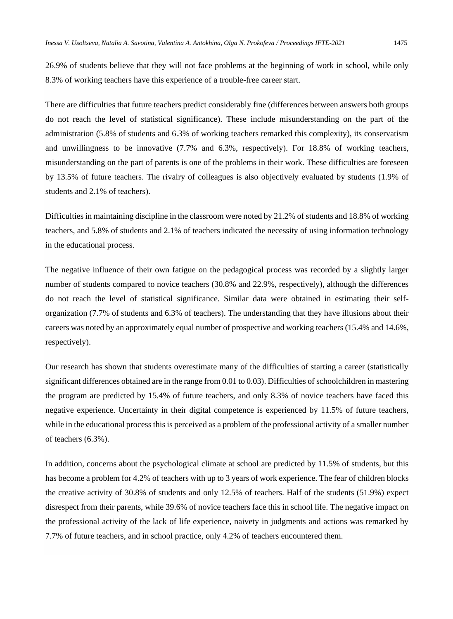26.9% of students believe that they will not face problems at the beginning of work in school, while only 8.3% of working teachers have this experience of a trouble-free career start.

There are difficulties that future teachers predict considerably fine (differences between answers both groups do not reach the level of statistical significance). These include misunderstanding on the part of the administration (5.8% of students and 6.3% of working teachers remarked this complexity), its conservatism and unwillingness to be innovative (7.7% and 6.3%, respectively). For 18.8% of working teachers, misunderstanding on the part of parents is one of the problems in their work. These difficulties are foreseen by 13.5% of future teachers. The rivalry of colleagues is also objectively evaluated by students (1.9% of students and 2.1% of teachers).

Difficulties in maintaining discipline in the classroom were noted by 21.2% of students and 18.8% of working teachers, and 5.8% of students and 2.1% of teachers indicated the necessity of using information technology in the educational process.

The negative influence of their own fatigue on the pedagogical process was recorded by a slightly larger number of students compared to novice teachers (30.8% and 22.9%, respectively), although the differences do not reach the level of statistical significance. Similar data were obtained in estimating their selforganization (7.7% of students and 6.3% of teachers). The understanding that they have illusions about their careers was noted by an approximately equal number of prospective and working teachers (15.4% and 14.6%, respectively).

Our research has shown that students overestimate many of the difficulties of starting a career (statistically significant differences obtained are in the range from 0.01 to 0.03). Difficulties of schoolchildren in mastering the program are predicted by 15.4% of future teachers, and only 8.3% of novice teachers have faced this negative experience. Uncertainty in their digital competence is experienced by 11.5% of future teachers, while in the educational process this is perceived as a problem of the professional activity of a smaller number of teachers (6.3%).

In addition, concerns about the psychological climate at school are predicted by 11.5% of students, but this has become a problem for 4.2% of teachers with up to 3 years of work experience. The fear of children blocks the creative activity of 30.8% of students and only 12.5% of teachers. Half of the students (51.9%) expect disrespect from their parents, while 39.6% of novice teachers face this in school life. The negative impact on the professional activity of the lack of life experience, naivety in judgments and actions was remarked by 7.7% of future teachers, and in school practice, only 4.2% of teachers encountered them.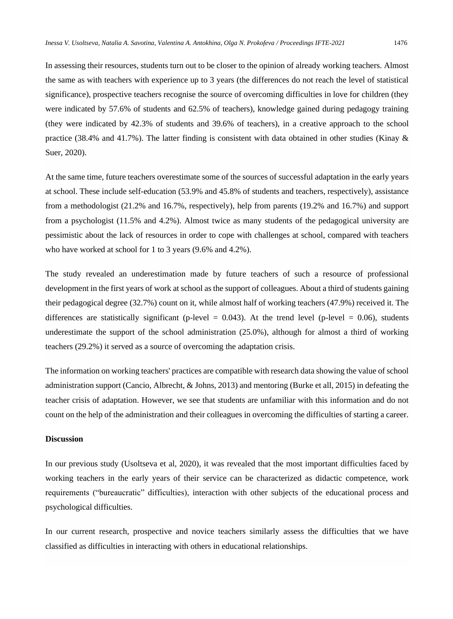In assessing their resources, students turn out to be closer to the opinion of already working teachers. Almost the same as with teachers with experience up to 3 years (the differences do not reach the level of statistical significance), prospective teachers recognise the source of overcoming difficulties in love for children (they were indicated by 57.6% of students and 62.5% of teachers), knowledge gained during pedagogy training (they were indicated by 42.3% of students and 39.6% of teachers), in a creative approach to the school practice (38.4% and 41.7%). The latter finding is consistent with data obtained in other studies (Kinay & Suer, 2020).

At the same time, future teachers overestimate some of the sources of successful adaptation in the early years at school. These include self-education (53.9% and 45.8% of students and teachers, respectively), assistance from a methodologist (21.2% and 16.7%, respectively), help from parents (19.2% and 16.7%) and support from a psychologist (11.5% and 4.2%). Almost twice as many students of the pedagogical university are pessimistic about the lack of resources in order to cope with challenges at school, compared with teachers who have worked at school for 1 to 3 years (9.6% and 4.2%).

The study revealed an underestimation made by future teachers of such a resource of professional development in the first years of work at school as the support of colleagues. About a third of students gaining their pedagogical degree (32.7%) count on it, while almost half of working teachers (47.9%) received it. The differences are statistically significant (p-level =  $0.043$ ). At the trend level (p-level = 0.06), students underestimate the support of the school administration (25.0%), although for almost a third of working teachers (29.2%) it served as a source of overcoming the adaptation crisis.

The information on working teachers' practices are compatible with research data showing the value of school administration support (Cancio, Albrecht, & Johns, 2013) and mentoring (Burke et all, 2015) in defeating the teacher crisis of adaptation. However, we see that students are unfamiliar with this information and do not count on the help of the administration and their colleagues in overcoming the difficulties of starting a career.

### **Discussion**

In our previous study (Usoltseva et al, 2020), it was revealed that the most important difficulties faced by working teachers in the early years of their service can be characterized as didactic competence, work requirements ("bureaucratic" difficulties), interaction with other subjects of the educational process and psychological difficulties.

In our current research, prospective and novice teachers similarly assess the difficulties that we have classified as difficulties in interacting with others in educational relationships.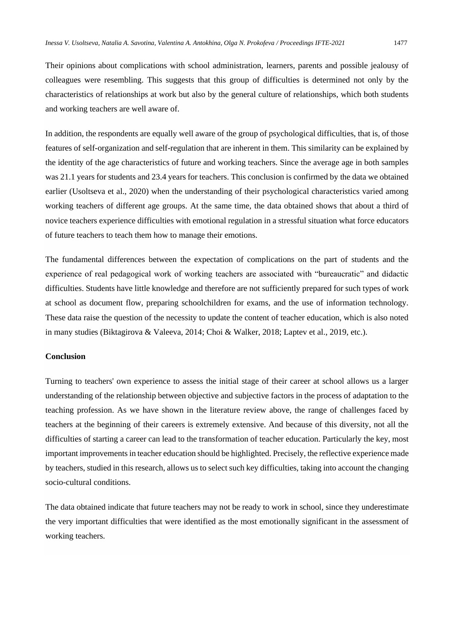Their opinions about complications with school administration, learners, parents and possible jealousy of colleagues were resembling. This suggests that this group of difficulties is determined not only by the characteristics of relationships at work but also by the general culture of relationships, which both students and working teachers are well aware of.

In addition, the respondents are equally well aware of the group of psychological difficulties, that is, of those features of self-organization and self-regulation that are inherent in them. This similarity can be explained by the identity of the age characteristics of future and working teachers. Since the average age in both samples was 21.1 years for students and 23.4 years for teachers. This conclusion is confirmed by the data we obtained earlier (Usoltseva et al., 2020) when the understanding of their psychological characteristics varied among working teachers of different age groups. At the same time, the data obtained shows that about a third of novice teachers experience difficulties with emotional regulation in a stressful situation what force educators of future teachers to teach them how to manage their emotions.

The fundamental differences between the expectation of complications on the part of students and the experience of real pedagogical work of working teachers are associated with "bureaucratic" and didactic difficulties. Students have little knowledge and therefore are not sufficiently prepared for such types of work at school as document flow, preparing schoolchildren for exams, and the use of information technology. These data raise the question of the necessity to update the content of teacher education, which is also noted in many studies (Biktagirova & Valeeva, 2014; Choi & Walker, 2018; Laptev et al., 2019, etc.).

#### **Conclusion**

Turning to teachers' own experience to assess the initial stage of their career at school allows us a larger understanding of the relationship between objective and subjective factors in the process of adaptation to the teaching profession. As we have shown in the literature review above, the range of challenges faced by teachers at the beginning of their careers is extremely extensive. And because of this diversity, not all the difficulties of starting a career can lead to the transformation of teacher education. Particularly the key, most important improvements in teacher education should be highlighted. Precisely, the reflective experience made by teachers, studied in this research, allows us to select such key difficulties, taking into account the changing socio-cultural conditions.

The data obtained indicate that future teachers may not be ready to work in school, since they underestimate the very important difficulties that were identified as the most emotionally significant in the assessment of working teachers.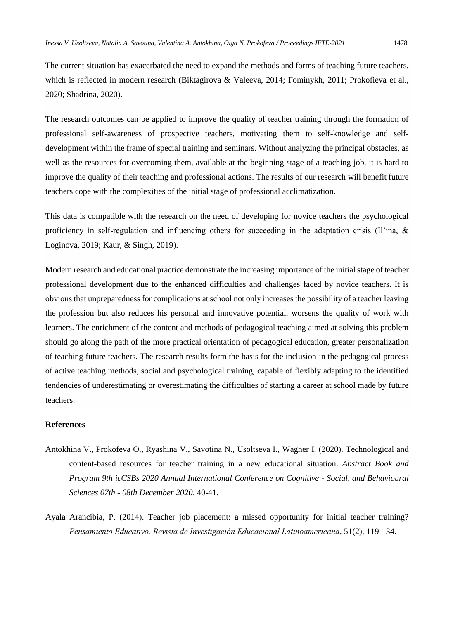The current situation has exacerbated the need to expand the methods and forms of teaching future teachers, which is reflected in modern research (Biktagirova & Valeeva, 2014; Fominykh, 2011; Prokofieva et al., 2020; Shadrina, 2020).

The research outcomes can be applied to improve the quality of teacher training through the formation of professional self-awareness of prospective teachers, motivating them to self-knowledge and selfdevelopment within the frame of special training and seminars. Without analyzing the principal obstacles, as well as the resources for overcoming them, available at the beginning stage of a teaching job, it is hard to improve the quality of their teaching and professional actions. The results of our research will benefit future teachers cope with the complexities of the initial stage of professional acclimatization.

This data is compatible with the research on the need of developing for novice teachers the psychological proficiency in self-regulation and influencing others for succeeding in the adaptation crisis (Il'ina, & Loginova, 2019; Kaur, & Singh, 2019).

Modern research and educational practice demonstrate the increasing importance of the initial stage of teacher professional development due to the enhanced difficulties and challenges faced by novice teachers. It is obvious that unpreparedness for complications at school not only increases the possibility of a teacher leaving the profession but also reduces his personal and innovative potential, worsens the quality of work with learners. The enrichment of the content and methods of pedagogical teaching aimed at solving this problem should go along the path of the more practical orientation of pedagogical education, greater personalization of teaching future teachers. The research results form the basis for the inclusion in the pedagogical process of active teaching methods, social and psychological training, capable of flexibly adapting to the identified tendencies of underestimating or overestimating the difficulties of starting a career at school made by future teachers.

## **References**

- Antokhina V., Prokofeva O., Ryashina V., Savotina N., Usoltseva I., Wagner I. (2020). Technological and content-based resources for teacher training in a new educational situation. *Abstract Book and Program 9th icCSBs 2020 Annual International Conference on Cognitive - Social, and Behavioural Sciences 07th - 08th December 2020,* 40-41.
- Ayala Arancibia, P. (2014). Teacher job placement: a missed opportunity for initial teacher training? *Pensamiento Educativo. Revista de Investigación Educacional Latinoamericana*, 51(2), 119-134.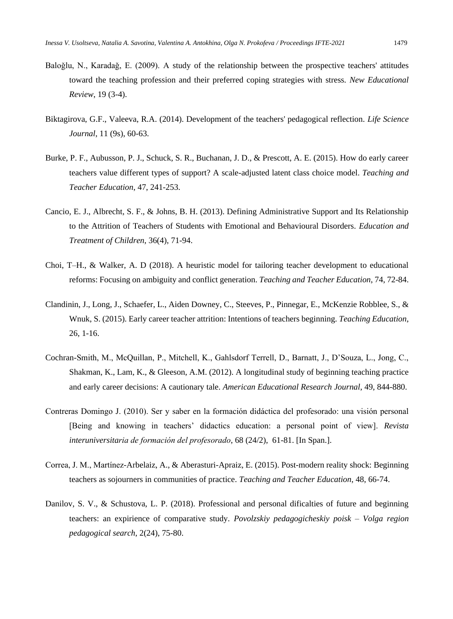- Baloğlu, N., Karadağ, E. (2009). A study of the relationship between the prospective teachers' attitudes toward the teaching profession and their preferred coping strategies with stress. *New Educational Review*, 19 (3-4).
- Biktagirova, G.F., Valeeva, R.A. (2014). Development of the teachers' pedagogical reflection. *Life Science Journal*, 11 (9s), 60-63.
- Burke, P. F., Aubusson, P. J., Schuck, S. R., Buchanan, J. D., & Prescott, A. E. (2015). How do early career teachers value different types of support? A scale-adjusted latent class choice model. *Teaching and Teacher Education*, 47, 241-253.
- Cancio, E. J., Albrecht, S. F., & Johns, B. H. (2013). Defining Administrative Support and Its Relationship to the Attrition of Teachers of Students with Emotional and Behavioural Disorders. *Education and Treatment of Children*, 36(4), 71-94.
- Choi, T–H., & Walker, A. D (2018). A heuristic model for tailoring teacher development to educational reforms: Focusing on ambiguity and conflict generation. *Teaching and Teacher Education*, 74, 72-84.
- Clandinin, J., Long, J., Schaefer, L., Aiden Downey, C., Steeves, P., Pinnegar, E., McKenzie Robblee, S., & Wnuk, S. (2015). Early career teacher attrition: Intentions of teachers beginning. *Teaching Education*, 26, 1-16.
- Cochran-Smith, M., McQuillan, P., Mitchell, K., Gahlsdorf Terrell, D., Barnatt, J., D'Souza, L., Jong, C., Shakman, K., Lam, K., & Gleeson, A.M. (2012). A longitudinal study of beginning teaching practice and early career decisions: A cautionary tale. *American Educational Research Journal*, 49, 844-880.
- Contreras Domingo J. (2010). Ser y saber en la formación didáctica del profesorado: una visión personal [Being and knowing in teachers' didactics education: a personal point of view]. *Revista interuniversitaria de formación del profesorado*, 68 (24/2), 61-81. [In Span.].
- Correa, J. M., Martínez-Arbelaiz, A., & Aberasturi-Apraiz, E. (2015). Post-modern reality shock: Beginning teachers as sojourners in communities of practice. *Teaching and Teacher Education*, 48, 66-74.
- Danilov, S. V., & Schustova, L. P. (2018). Professional and personal dificalties of future and beginning teachers: an expirience of comparative study. *Povolzskiy pedagogicheskiy poisk – Volga region pedagogical search*, 2(24), 75-80.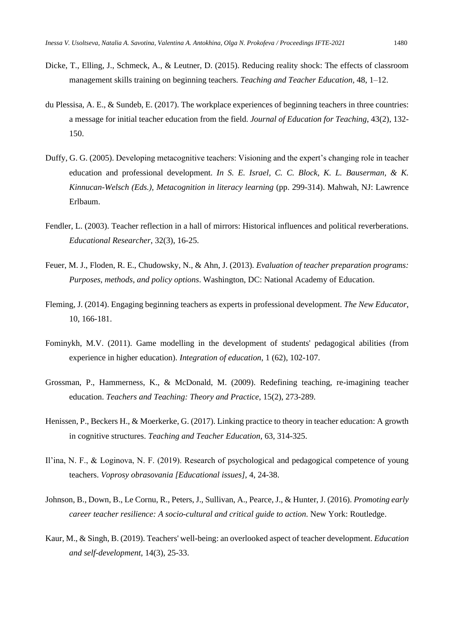- Dicke, T., Elling, J., Schmeck, A., & Leutner, D. (2015). Reducing reality shock: The effects of classroom management skills training on beginning teachers. *Teaching and Teacher Education,* 48, 1–12.
- du Plessisa, A. E., & Sundeb, E. (2017). The workplace experiences of beginning teachers in three countries: a message for initial teacher education from the field. *Journal of Education for Teaching*, 43(2), 132- 150.
- Duffy, G. G. (2005). Developing metacognitive teachers: Visioning and the expert's changing role in teacher education and professional development. *In S. E. Israel, C. C. Block, K. L. Bauserman, & K. Kinnucan-Welsch (Eds.), Metacognition in literacy learning* (pp. 299-314). Mahwah, NJ: Lawrence Erlbaum.
- Fendler, L. (2003). Teacher reflection in a hall of mirrors: Historical influences and political reverberations. *Educational Researcher*, 32(3), 16-25.
- Feuer, M. J., Floden, R. E., Chudowsky, N., & Ahn, J. (2013). *Evaluation of teacher preparation programs: Purposes, methods, and policy options*. Washington, DC: National Academy of Education.
- Fleming, J. (2014). Engaging beginning teachers as experts in professional development. *The New Educator*, 10, 166-181.
- Fominykh, M.V. (2011). Game modelling in the development of students' pedagogical abilities (from experience in higher education). *Integration of education*, 1 (62), 102-107.
- Grossman, P., Hammerness, K., & McDonald, M. (2009). Redefining teaching, re-imagining teacher education. *Teachers and Teaching: Theory and Practice*, 15(2), 273-289.
- Henissen, P., Beckers H., & Moerkerke, G. (2017). Linking practice to theory in teacher education: A growth in cognitive structures. *Teaching and Teacher Education*, 63, 314-325.
- Il'ina, N. F., & Loginova, N. F. (2019). Research of psychological and pedagogical competence of young teachers. *Voprosy obrasovania [Educational issues]*, 4, 24-38.
- Johnson, B., Down, B., Le Cornu, R., Peters, J., Sullivan, A., Pearce, J., & Hunter, J. (2016). *Promoting early career teacher resilience: A socio-cultural and critical guide to action*. New York: Routledge.
- Kaur, M., & Singh, B. (2019). Teachers' well-being: an overlooked aspect of teacher development. *Education and self-development*, 14(3), 25-33.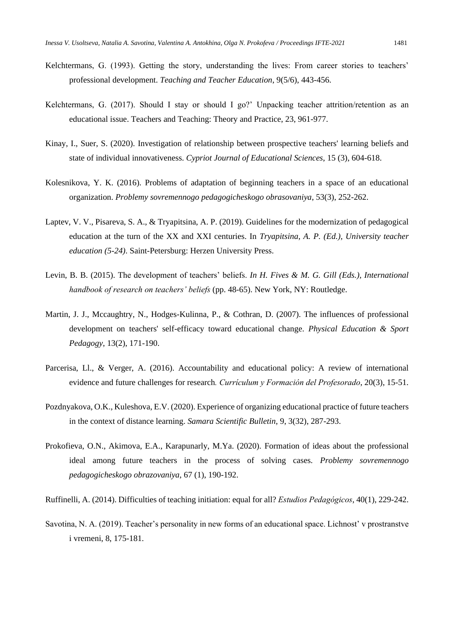- Kelchtermans, G. (1993). Getting the story, understanding the lives: From career stories to teachers' professional development. *Teaching and Teacher Education*, 9(5/6), 443-456.
- Kelchtermans, G. (2017). Should I stay or should I go?' Unpacking teacher attrition/retention as an educational issue. Teachers and Teaching: Theory and Practice, 23, 961-977.
- Kinay, I., Suer, S. (2020). Investigation of relationship between prospective teachers' learning beliefs and state of individual innovativeness. *Cypriot Journal of Educational Sciences*, 15 (3), 604-618.
- Kolesnikova, Y. K. (2016). Problems of adaptation of beginning teachers in a space of an educational organization. *Problemy sovremennogo pedagogicheskogo obrasovaniya*, 53(3), 252-262.
- Laptev, V. V., Pisareva, S. A., & Tryapitsina, A. P. (2019). Guidelines for the modernization of pedagogical education at the turn of the XX and XXI centuries. In *Tryapitsina, A. P. (Ed.), University teacher education (5-24)*. Saint-Petersburg: Herzen University Press.
- Levin, B. B. (2015). The development of teachers' beliefs. *In H. Fives & M. G. Gill (Eds.), International handbook of research on teachers' beliefs* (pp. 48-65). New York, NY: Routledge.
- Martin, J. J., Mccaughtry, N., Hodges-Kulinna, P., & Cothran, D. (2007). The influences of professional development on teachers' self-efficacy toward educational change. *Physical Education & Sport Pedagogy*, 13(2), 171-190.
- Parcerisa, Ll., & Verger, A. (2016). Accountability and educational policy: A review of international evidence and future challenges for research*. Currículum y Formación del Profesorado*, 20(3), 15-51.
- Pozdnyakova, O.K., Kuleshova, E.V. (2020). Experience of organizing educational practice of future teachers in the context of distance learning. *Samara Scientific Bulletin*, 9, 3(32), 287-293.
- Prokofieva, O.N., Akimova, E.A., Karapunarly, M.Ya. (2020). Formation of ideas about the professional ideal among future teachers in the process of solving cases. *Problemy sovremennogo pedagogicheskogo obrazovaniya*, 67 (1), 190-192.

Ruffinelli, A. (2014). Difficulties of teaching initiation: equal for all? *Estudios Pedagógicos*, 40(1), 229-242.

Savotina, N. A. (2019). Teacher's personality in new forms of an educational space. Lichnost' v prostranstve i vremeni, 8, 175-181.